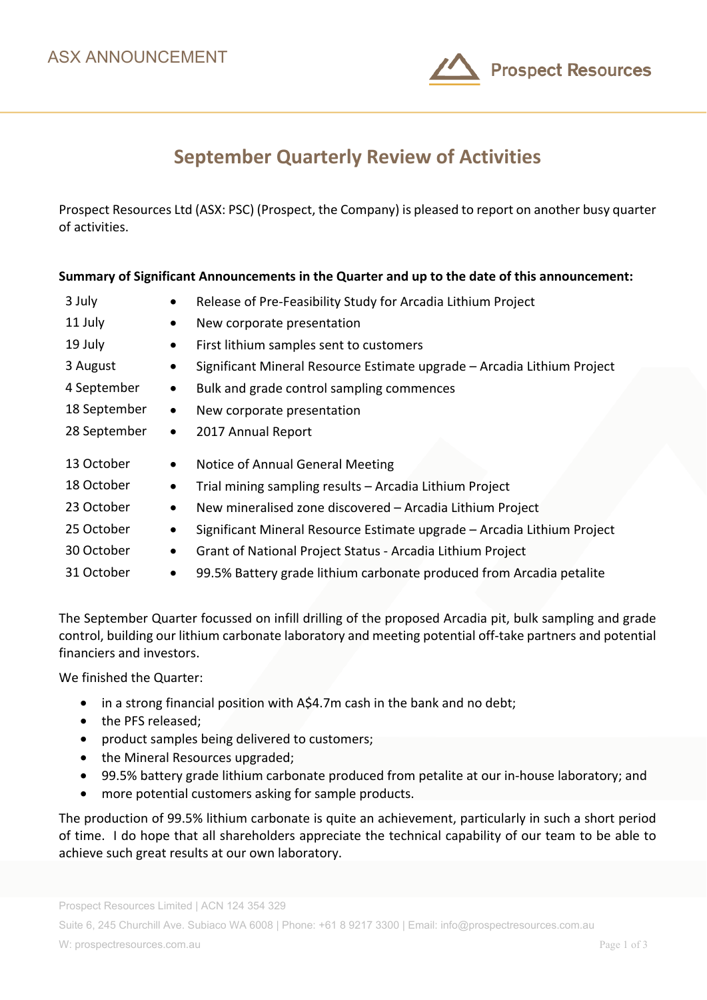

# **September Quarterly Review of Activities**

Prospect Resources Ltd (ASX: PSC) (Prospect, the Company) is pleased to report on another busy quarter of activities.

## **Summary of Significant Announcements in the Quarter and up to the date of this announcement:**

| 3 July       | Release of Pre-Feasibility Study for Arcadia Lithium Project                         |
|--------------|--------------------------------------------------------------------------------------|
| 11 July      | New corporate presentation<br>$\bullet$                                              |
| 19 July      | First lithium samples sent to customers<br>$\bullet$                                 |
| 3 August     | Significant Mineral Resource Estimate upgrade - Arcadia Lithium Project<br>$\bullet$ |
| 4 September  | Bulk and grade control sampling commences<br>$\bullet$                               |
| 18 September | New corporate presentation<br>$\bullet$                                              |
| 28 September | 2017 Annual Report<br>$\bullet$                                                      |
| 13 October   | Notice of Annual General Meeting<br>$\bullet$                                        |
| 18 October   | Trial mining sampling results - Arcadia Lithium Project<br>$\bullet$                 |
| 23 October   | New mineralised zone discovered - Arcadia Lithium Project<br>$\bullet$               |
| 25 October   | Significant Mineral Resource Estimate upgrade - Arcadia Lithium Project<br>$\bullet$ |
| 30 October   | Grant of National Project Status - Arcadia Lithium Project<br>$\bullet$              |
| 31 October   | 99.5% Battery grade lithium carbonate produced from Arcadia petalite<br>$\bullet$    |
|              |                                                                                      |

The September Quarter focussed on infill drilling of the proposed Arcadia pit, bulk sampling and grade control, building our lithium carbonate laboratory and meeting potential off-take partners and potential financiers and investors.

We finished the Quarter:

- in a strong financial position with A\$4.7m cash in the bank and no debt;
- the PFS released;
- product samples being delivered to customers;
- the Mineral Resources upgraded;
- 99.5% battery grade lithium carbonate produced from petalite at our in-house laboratory; and
- more potential customers asking for sample products.

The production of 99.5% lithium carbonate is quite an achievement, particularly in such a short period of time. I do hope that all shareholders appreciate the technical capability of our team to be able to achieve such great results at our own laboratory.

Suite 6, 245 Churchill Ave. Subiaco WA 6008 | Phone: +61 8 9217 3300 | Email: info@prospectresources.com.au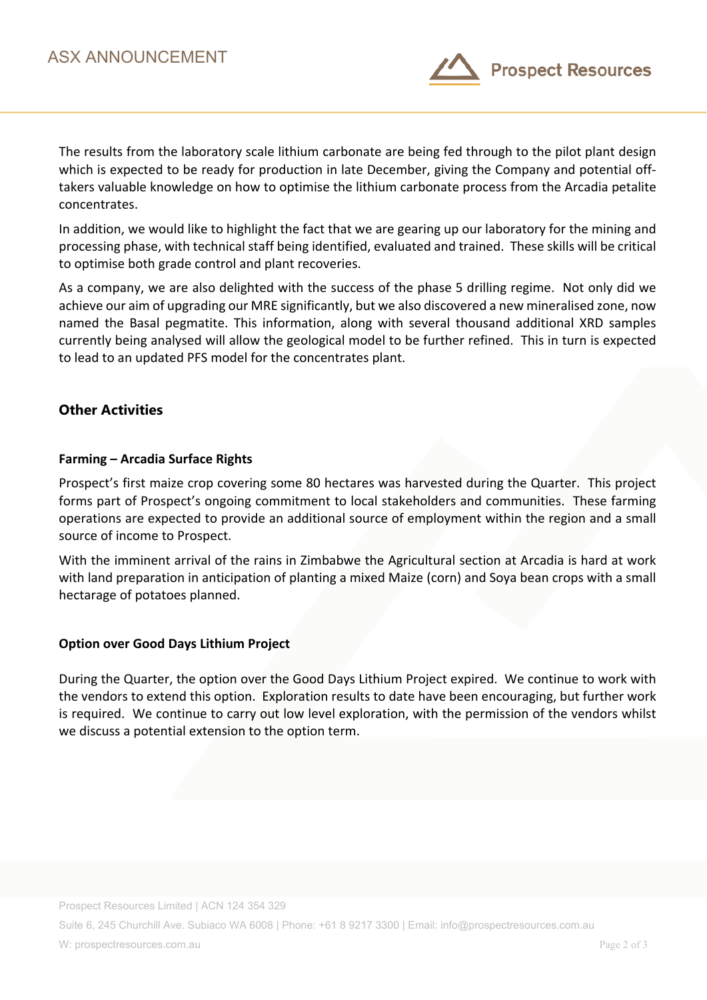

The results from the laboratory scale lithium carbonate are being fed through to the pilot plant design which is expected to be ready for production in late December, giving the Company and potential offtakers valuable knowledge on how to optimise the lithium carbonate process from the Arcadia petalite concentrates.

In addition, we would like to highlight the fact that we are gearing up our laboratory for the mining and processing phase, with technical staff being identified, evaluated and trained. These skills will be critical to optimise both grade control and plant recoveries.

As a company, we are also delighted with the success of the phase 5 drilling regime. Not only did we achieve our aim of upgrading our MRE significantly, but we also discovered a new mineralised zone, now named the Basal pegmatite. This information, along with several thousand additional XRD samples currently being analysed will allow the geological model to be further refined. This in turn is expected to lead to an updated PFS model for the concentrates plant.

## **Other Activities**

## **Farming – Arcadia Surface Rights**

Prospect's first maize crop covering some 80 hectares was harvested during the Quarter. This project forms part of Prospect's ongoing commitment to local stakeholders and communities. These farming operations are expected to provide an additional source of employment within the region and a small source of income to Prospect.

With the imminent arrival of the rains in Zimbabwe the Agricultural section at Arcadia is hard at work with land preparation in anticipation of planting a mixed Maize (corn) and Soya bean crops with a small hectarage of potatoes planned.

## **Option over Good Days Lithium Project**

During the Quarter, the option over the Good Days Lithium Project expired. We continue to work with the vendors to extend this option. Exploration results to date have been encouraging, but further work is required. We continue to carry out low level exploration, with the permission of the vendors whilst we discuss a potential extension to the option term.

Suite 6, 245 Churchill Ave. Subiaco WA 6008 | Phone: +61 8 9217 3300 | Email: info@prospectresources.com.au